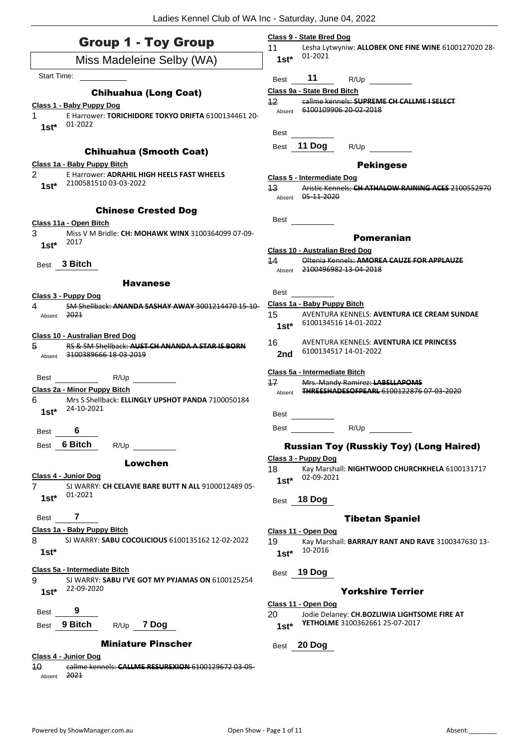| Lesha Lytwyniw: ALLOBEK ONE FINE WINE 6100127020 28-<br>01-2021<br>Miss Madeleine Selby (WA)<br>$1st*$<br>Start Time:<br>11<br>R/Up<br>Best<br>Class 9a - State Bred Bitch<br><b>Chihuahua (Long Coat)</b><br>12<br>callme kennels: SUPREME CH CALLME I SELECT<br>Class 1 - Baby Puppy Dog<br>6100109906 20-02-2018<br>Absent<br>E Harrower: TORICHIDORE TOKYO DRIFTA 6100134461 20-<br>01-2022<br>$1st*$<br>Best<br>11 Dog<br>R/Up<br><b>Best</b><br><b>Chihuahua (Smooth Coat)</b><br>Class 1a - Baby Puppy Bitch<br><b>Pekingese</b><br>2<br>E Harrower: ADRAHIL HIGH HEELS FAST WHEELS<br>Class 5 - Intermediate Dog<br>2100581510 03-03-2022<br>$1st*$<br>$43 \,$<br>Aristic Kennels: CH ATHALOW RAINING ACES 2100552970<br>Absent 05 11 2020<br><b>Chinese Crested Dog</b><br>Best<br>Class 11a - Open Bitch<br>3<br>Miss V M Bridle: CH: MOHAWK WINX 3100364099 07-09-<br><b>Pomeranian</b><br>2017<br>$1st*$<br><b>Class 10 - Australian Bred Dog</b><br>44<br>Oltenia Kennels: AMOREA CAUZE FOR APPLAUZE<br>3 Bitch<br>Best<br>2100496982 13-04-2018<br>Absent<br><b>Havanese</b><br>Best<br>Class 3 - Puppy Dog<br>Class 1a - Baby Puppy Bitch<br>4<br>SM Shellback: ANANDA SASHAY AWAY 3001214470 15-10-<br>15<br>2021<br>AVENTURA KENNELS: AVENTURA ICE CREAM SUNDAE<br>Absent<br>6100134516 14-01-2022<br>$1st^*$<br><b>Class 10 - Australian Bred Dog</b><br>16<br>AVENTURA KENNELS: AVENTURA ICE PRINCESS<br>5<br>RS & SM Shellback: AUST CH ANANDA A STAR IS BORN<br>6100134517 14-01-2022<br>2nd<br>3100389666 18 03 2019<br>Absent<br>Class 5a - Intermediate Bitch<br>R/Up<br>Best<br>17<br>Mrs. Mandy Ramirez: LABELLAPOMS<br>Class 2a - Minor Puppy Bitch<br>THREESHADESOEREARL 6100122876 07-03-2020<br>Absent<br>6<br>Mrs S Shellback: ELLINGLY UPSHOT PANDA 7100050184<br>24-10-2021<br>$1st*$<br><b>Best</b><br>R/Up<br>Best<br>6<br><b>Best</b><br>6 Bitch<br>R/Up<br><b>Best</b><br><b>Russian Toy (Russkiy Toy) (Long Haired)</b><br>Class 3 - Puppy Dog<br>Lowchen<br>18<br>Kay Marshall: NIGHTWOOD CHURCHKHELA 6100131717<br>Class 4 - Junior Dog<br>02-09-2021<br>$1st*$<br>SJ WARRY: CH CELAVIE BARE BUTT N ALL 9100012489 05-<br>7<br>01-2021<br>$1st^*$<br>18 Dog<br>Best<br>7<br>Best<br><b>Tibetan Spaniel</b><br>Class 1a - Baby Puppy Bitch<br>Class 11 - Open Dog<br>8<br>SJ WARRY: SABU COCOLICIOUS 6100135162 12-02-2022<br>19<br>Kay Marshall: BARRAJY RANT AND RAVE 3100347630 13-<br>10-2016<br>$1st*$<br>$1st*$<br>Class 5a - Intermediate Bitch<br>19 Dog<br>Best<br>9<br>SJ WARRY: SABU I'VE GOT MY PYJAMAS ON 6100125254<br>22-09-2020<br><b>Yorkshire Terrier</b><br>$1st*$<br>Class 11 - Open Dog<br>9<br>Best<br>20<br>Jodie Delaney: CH.BOZLIWIA LIGHTSOME FIRE AT<br>YETHOLME 3100362661 25-07-2017<br>Best 9 Bitch<br>R/Up 7 Dog<br>$1st*$<br><b>Miniature Pinscher</b><br>20 Dog<br>Best<br>Class 4 - Junior Dog<br>40<br>callme kennels: CALLME RESUREXION 6100129672 03 05- | <b>Group 1 - Toy Group</b> | Class 9 - State Bred Dog |
|--------------------------------------------------------------------------------------------------------------------------------------------------------------------------------------------------------------------------------------------------------------------------------------------------------------------------------------------------------------------------------------------------------------------------------------------------------------------------------------------------------------------------------------------------------------------------------------------------------------------------------------------------------------------------------------------------------------------------------------------------------------------------------------------------------------------------------------------------------------------------------------------------------------------------------------------------------------------------------------------------------------------------------------------------------------------------------------------------------------------------------------------------------------------------------------------------------------------------------------------------------------------------------------------------------------------------------------------------------------------------------------------------------------------------------------------------------------------------------------------------------------------------------------------------------------------------------------------------------------------------------------------------------------------------------------------------------------------------------------------------------------------------------------------------------------------------------------------------------------------------------------------------------------------------------------------------------------------------------------------------------------------------------------------------------------------------------------------------------------------------------------------------------------------------------------------------------------------------------------------------------------------------------------------------------------------------------------------------------------------------------------------------------------------------------------------------------------------------------------------------------------------------------------------------------------------------------------------------------------------------------------------------------------------------------------------------------------------------------------------------------------------------------------------------------------------------------------------------------------------------------------------------------------------------------------|----------------------------|--------------------------|
|                                                                                                                                                                                                                                                                                                                                                                                                                                                                                                                                                                                                                                                                                                                                                                                                                                                                                                                                                                                                                                                                                                                                                                                                                                                                                                                                                                                                                                                                                                                                                                                                                                                                                                                                                                                                                                                                                                                                                                                                                                                                                                                                                                                                                                                                                                                                                                                                                                                                                                                                                                                                                                                                                                                                                                                                                                                                                                                                      |                            | 11                       |
|                                                                                                                                                                                                                                                                                                                                                                                                                                                                                                                                                                                                                                                                                                                                                                                                                                                                                                                                                                                                                                                                                                                                                                                                                                                                                                                                                                                                                                                                                                                                                                                                                                                                                                                                                                                                                                                                                                                                                                                                                                                                                                                                                                                                                                                                                                                                                                                                                                                                                                                                                                                                                                                                                                                                                                                                                                                                                                                                      |                            |                          |
|                                                                                                                                                                                                                                                                                                                                                                                                                                                                                                                                                                                                                                                                                                                                                                                                                                                                                                                                                                                                                                                                                                                                                                                                                                                                                                                                                                                                                                                                                                                                                                                                                                                                                                                                                                                                                                                                                                                                                                                                                                                                                                                                                                                                                                                                                                                                                                                                                                                                                                                                                                                                                                                                                                                                                                                                                                                                                                                                      |                            |                          |
|                                                                                                                                                                                                                                                                                                                                                                                                                                                                                                                                                                                                                                                                                                                                                                                                                                                                                                                                                                                                                                                                                                                                                                                                                                                                                                                                                                                                                                                                                                                                                                                                                                                                                                                                                                                                                                                                                                                                                                                                                                                                                                                                                                                                                                                                                                                                                                                                                                                                                                                                                                                                                                                                                                                                                                                                                                                                                                                                      |                            |                          |
|                                                                                                                                                                                                                                                                                                                                                                                                                                                                                                                                                                                                                                                                                                                                                                                                                                                                                                                                                                                                                                                                                                                                                                                                                                                                                                                                                                                                                                                                                                                                                                                                                                                                                                                                                                                                                                                                                                                                                                                                                                                                                                                                                                                                                                                                                                                                                                                                                                                                                                                                                                                                                                                                                                                                                                                                                                                                                                                                      |                            |                          |
|                                                                                                                                                                                                                                                                                                                                                                                                                                                                                                                                                                                                                                                                                                                                                                                                                                                                                                                                                                                                                                                                                                                                                                                                                                                                                                                                                                                                                                                                                                                                                                                                                                                                                                                                                                                                                                                                                                                                                                                                                                                                                                                                                                                                                                                                                                                                                                                                                                                                                                                                                                                                                                                                                                                                                                                                                                                                                                                                      |                            |                          |
|                                                                                                                                                                                                                                                                                                                                                                                                                                                                                                                                                                                                                                                                                                                                                                                                                                                                                                                                                                                                                                                                                                                                                                                                                                                                                                                                                                                                                                                                                                                                                                                                                                                                                                                                                                                                                                                                                                                                                                                                                                                                                                                                                                                                                                                                                                                                                                                                                                                                                                                                                                                                                                                                                                                                                                                                                                                                                                                                      |                            |                          |
|                                                                                                                                                                                                                                                                                                                                                                                                                                                                                                                                                                                                                                                                                                                                                                                                                                                                                                                                                                                                                                                                                                                                                                                                                                                                                                                                                                                                                                                                                                                                                                                                                                                                                                                                                                                                                                                                                                                                                                                                                                                                                                                                                                                                                                                                                                                                                                                                                                                                                                                                                                                                                                                                                                                                                                                                                                                                                                                                      |                            |                          |
|                                                                                                                                                                                                                                                                                                                                                                                                                                                                                                                                                                                                                                                                                                                                                                                                                                                                                                                                                                                                                                                                                                                                                                                                                                                                                                                                                                                                                                                                                                                                                                                                                                                                                                                                                                                                                                                                                                                                                                                                                                                                                                                                                                                                                                                                                                                                                                                                                                                                                                                                                                                                                                                                                                                                                                                                                                                                                                                                      |                            |                          |
|                                                                                                                                                                                                                                                                                                                                                                                                                                                                                                                                                                                                                                                                                                                                                                                                                                                                                                                                                                                                                                                                                                                                                                                                                                                                                                                                                                                                                                                                                                                                                                                                                                                                                                                                                                                                                                                                                                                                                                                                                                                                                                                                                                                                                                                                                                                                                                                                                                                                                                                                                                                                                                                                                                                                                                                                                                                                                                                                      |                            |                          |
|                                                                                                                                                                                                                                                                                                                                                                                                                                                                                                                                                                                                                                                                                                                                                                                                                                                                                                                                                                                                                                                                                                                                                                                                                                                                                                                                                                                                                                                                                                                                                                                                                                                                                                                                                                                                                                                                                                                                                                                                                                                                                                                                                                                                                                                                                                                                                                                                                                                                                                                                                                                                                                                                                                                                                                                                                                                                                                                                      |                            |                          |
|                                                                                                                                                                                                                                                                                                                                                                                                                                                                                                                                                                                                                                                                                                                                                                                                                                                                                                                                                                                                                                                                                                                                                                                                                                                                                                                                                                                                                                                                                                                                                                                                                                                                                                                                                                                                                                                                                                                                                                                                                                                                                                                                                                                                                                                                                                                                                                                                                                                                                                                                                                                                                                                                                                                                                                                                                                                                                                                                      |                            |                          |
|                                                                                                                                                                                                                                                                                                                                                                                                                                                                                                                                                                                                                                                                                                                                                                                                                                                                                                                                                                                                                                                                                                                                                                                                                                                                                                                                                                                                                                                                                                                                                                                                                                                                                                                                                                                                                                                                                                                                                                                                                                                                                                                                                                                                                                                                                                                                                                                                                                                                                                                                                                                                                                                                                                                                                                                                                                                                                                                                      |                            |                          |
|                                                                                                                                                                                                                                                                                                                                                                                                                                                                                                                                                                                                                                                                                                                                                                                                                                                                                                                                                                                                                                                                                                                                                                                                                                                                                                                                                                                                                                                                                                                                                                                                                                                                                                                                                                                                                                                                                                                                                                                                                                                                                                                                                                                                                                                                                                                                                                                                                                                                                                                                                                                                                                                                                                                                                                                                                                                                                                                                      |                            |                          |
|                                                                                                                                                                                                                                                                                                                                                                                                                                                                                                                                                                                                                                                                                                                                                                                                                                                                                                                                                                                                                                                                                                                                                                                                                                                                                                                                                                                                                                                                                                                                                                                                                                                                                                                                                                                                                                                                                                                                                                                                                                                                                                                                                                                                                                                                                                                                                                                                                                                                                                                                                                                                                                                                                                                                                                                                                                                                                                                                      |                            |                          |
|                                                                                                                                                                                                                                                                                                                                                                                                                                                                                                                                                                                                                                                                                                                                                                                                                                                                                                                                                                                                                                                                                                                                                                                                                                                                                                                                                                                                                                                                                                                                                                                                                                                                                                                                                                                                                                                                                                                                                                                                                                                                                                                                                                                                                                                                                                                                                                                                                                                                                                                                                                                                                                                                                                                                                                                                                                                                                                                                      |                            |                          |
|                                                                                                                                                                                                                                                                                                                                                                                                                                                                                                                                                                                                                                                                                                                                                                                                                                                                                                                                                                                                                                                                                                                                                                                                                                                                                                                                                                                                                                                                                                                                                                                                                                                                                                                                                                                                                                                                                                                                                                                                                                                                                                                                                                                                                                                                                                                                                                                                                                                                                                                                                                                                                                                                                                                                                                                                                                                                                                                                      |                            |                          |
|                                                                                                                                                                                                                                                                                                                                                                                                                                                                                                                                                                                                                                                                                                                                                                                                                                                                                                                                                                                                                                                                                                                                                                                                                                                                                                                                                                                                                                                                                                                                                                                                                                                                                                                                                                                                                                                                                                                                                                                                                                                                                                                                                                                                                                                                                                                                                                                                                                                                                                                                                                                                                                                                                                                                                                                                                                                                                                                                      |                            |                          |
|                                                                                                                                                                                                                                                                                                                                                                                                                                                                                                                                                                                                                                                                                                                                                                                                                                                                                                                                                                                                                                                                                                                                                                                                                                                                                                                                                                                                                                                                                                                                                                                                                                                                                                                                                                                                                                                                                                                                                                                                                                                                                                                                                                                                                                                                                                                                                                                                                                                                                                                                                                                                                                                                                                                                                                                                                                                                                                                                      |                            |                          |
|                                                                                                                                                                                                                                                                                                                                                                                                                                                                                                                                                                                                                                                                                                                                                                                                                                                                                                                                                                                                                                                                                                                                                                                                                                                                                                                                                                                                                                                                                                                                                                                                                                                                                                                                                                                                                                                                                                                                                                                                                                                                                                                                                                                                                                                                                                                                                                                                                                                                                                                                                                                                                                                                                                                                                                                                                                                                                                                                      |                            |                          |
|                                                                                                                                                                                                                                                                                                                                                                                                                                                                                                                                                                                                                                                                                                                                                                                                                                                                                                                                                                                                                                                                                                                                                                                                                                                                                                                                                                                                                                                                                                                                                                                                                                                                                                                                                                                                                                                                                                                                                                                                                                                                                                                                                                                                                                                                                                                                                                                                                                                                                                                                                                                                                                                                                                                                                                                                                                                                                                                                      |                            |                          |
|                                                                                                                                                                                                                                                                                                                                                                                                                                                                                                                                                                                                                                                                                                                                                                                                                                                                                                                                                                                                                                                                                                                                                                                                                                                                                                                                                                                                                                                                                                                                                                                                                                                                                                                                                                                                                                                                                                                                                                                                                                                                                                                                                                                                                                                                                                                                                                                                                                                                                                                                                                                                                                                                                                                                                                                                                                                                                                                                      |                            |                          |
|                                                                                                                                                                                                                                                                                                                                                                                                                                                                                                                                                                                                                                                                                                                                                                                                                                                                                                                                                                                                                                                                                                                                                                                                                                                                                                                                                                                                                                                                                                                                                                                                                                                                                                                                                                                                                                                                                                                                                                                                                                                                                                                                                                                                                                                                                                                                                                                                                                                                                                                                                                                                                                                                                                                                                                                                                                                                                                                                      |                            |                          |
|                                                                                                                                                                                                                                                                                                                                                                                                                                                                                                                                                                                                                                                                                                                                                                                                                                                                                                                                                                                                                                                                                                                                                                                                                                                                                                                                                                                                                                                                                                                                                                                                                                                                                                                                                                                                                                                                                                                                                                                                                                                                                                                                                                                                                                                                                                                                                                                                                                                                                                                                                                                                                                                                                                                                                                                                                                                                                                                                      |                            |                          |
|                                                                                                                                                                                                                                                                                                                                                                                                                                                                                                                                                                                                                                                                                                                                                                                                                                                                                                                                                                                                                                                                                                                                                                                                                                                                                                                                                                                                                                                                                                                                                                                                                                                                                                                                                                                                                                                                                                                                                                                                                                                                                                                                                                                                                                                                                                                                                                                                                                                                                                                                                                                                                                                                                                                                                                                                                                                                                                                                      |                            |                          |
|                                                                                                                                                                                                                                                                                                                                                                                                                                                                                                                                                                                                                                                                                                                                                                                                                                                                                                                                                                                                                                                                                                                                                                                                                                                                                                                                                                                                                                                                                                                                                                                                                                                                                                                                                                                                                                                                                                                                                                                                                                                                                                                                                                                                                                                                                                                                                                                                                                                                                                                                                                                                                                                                                                                                                                                                                                                                                                                                      |                            |                          |
|                                                                                                                                                                                                                                                                                                                                                                                                                                                                                                                                                                                                                                                                                                                                                                                                                                                                                                                                                                                                                                                                                                                                                                                                                                                                                                                                                                                                                                                                                                                                                                                                                                                                                                                                                                                                                                                                                                                                                                                                                                                                                                                                                                                                                                                                                                                                                                                                                                                                                                                                                                                                                                                                                                                                                                                                                                                                                                                                      |                            |                          |
|                                                                                                                                                                                                                                                                                                                                                                                                                                                                                                                                                                                                                                                                                                                                                                                                                                                                                                                                                                                                                                                                                                                                                                                                                                                                                                                                                                                                                                                                                                                                                                                                                                                                                                                                                                                                                                                                                                                                                                                                                                                                                                                                                                                                                                                                                                                                                                                                                                                                                                                                                                                                                                                                                                                                                                                                                                                                                                                                      |                            |                          |
|                                                                                                                                                                                                                                                                                                                                                                                                                                                                                                                                                                                                                                                                                                                                                                                                                                                                                                                                                                                                                                                                                                                                                                                                                                                                                                                                                                                                                                                                                                                                                                                                                                                                                                                                                                                                                                                                                                                                                                                                                                                                                                                                                                                                                                                                                                                                                                                                                                                                                                                                                                                                                                                                                                                                                                                                                                                                                                                                      |                            |                          |
|                                                                                                                                                                                                                                                                                                                                                                                                                                                                                                                                                                                                                                                                                                                                                                                                                                                                                                                                                                                                                                                                                                                                                                                                                                                                                                                                                                                                                                                                                                                                                                                                                                                                                                                                                                                                                                                                                                                                                                                                                                                                                                                                                                                                                                                                                                                                                                                                                                                                                                                                                                                                                                                                                                                                                                                                                                                                                                                                      |                            |                          |
|                                                                                                                                                                                                                                                                                                                                                                                                                                                                                                                                                                                                                                                                                                                                                                                                                                                                                                                                                                                                                                                                                                                                                                                                                                                                                                                                                                                                                                                                                                                                                                                                                                                                                                                                                                                                                                                                                                                                                                                                                                                                                                                                                                                                                                                                                                                                                                                                                                                                                                                                                                                                                                                                                                                                                                                                                                                                                                                                      |                            |                          |
|                                                                                                                                                                                                                                                                                                                                                                                                                                                                                                                                                                                                                                                                                                                                                                                                                                                                                                                                                                                                                                                                                                                                                                                                                                                                                                                                                                                                                                                                                                                                                                                                                                                                                                                                                                                                                                                                                                                                                                                                                                                                                                                                                                                                                                                                                                                                                                                                                                                                                                                                                                                                                                                                                                                                                                                                                                                                                                                                      |                            |                          |
|                                                                                                                                                                                                                                                                                                                                                                                                                                                                                                                                                                                                                                                                                                                                                                                                                                                                                                                                                                                                                                                                                                                                                                                                                                                                                                                                                                                                                                                                                                                                                                                                                                                                                                                                                                                                                                                                                                                                                                                                                                                                                                                                                                                                                                                                                                                                                                                                                                                                                                                                                                                                                                                                                                                                                                                                                                                                                                                                      |                            |                          |
|                                                                                                                                                                                                                                                                                                                                                                                                                                                                                                                                                                                                                                                                                                                                                                                                                                                                                                                                                                                                                                                                                                                                                                                                                                                                                                                                                                                                                                                                                                                                                                                                                                                                                                                                                                                                                                                                                                                                                                                                                                                                                                                                                                                                                                                                                                                                                                                                                                                                                                                                                                                                                                                                                                                                                                                                                                                                                                                                      |                            |                          |
|                                                                                                                                                                                                                                                                                                                                                                                                                                                                                                                                                                                                                                                                                                                                                                                                                                                                                                                                                                                                                                                                                                                                                                                                                                                                                                                                                                                                                                                                                                                                                                                                                                                                                                                                                                                                                                                                                                                                                                                                                                                                                                                                                                                                                                                                                                                                                                                                                                                                                                                                                                                                                                                                                                                                                                                                                                                                                                                                      |                            |                          |
|                                                                                                                                                                                                                                                                                                                                                                                                                                                                                                                                                                                                                                                                                                                                                                                                                                                                                                                                                                                                                                                                                                                                                                                                                                                                                                                                                                                                                                                                                                                                                                                                                                                                                                                                                                                                                                                                                                                                                                                                                                                                                                                                                                                                                                                                                                                                                                                                                                                                                                                                                                                                                                                                                                                                                                                                                                                                                                                                      |                            |                          |
|                                                                                                                                                                                                                                                                                                                                                                                                                                                                                                                                                                                                                                                                                                                                                                                                                                                                                                                                                                                                                                                                                                                                                                                                                                                                                                                                                                                                                                                                                                                                                                                                                                                                                                                                                                                                                                                                                                                                                                                                                                                                                                                                                                                                                                                                                                                                                                                                                                                                                                                                                                                                                                                                                                                                                                                                                                                                                                                                      |                            |                          |
|                                                                                                                                                                                                                                                                                                                                                                                                                                                                                                                                                                                                                                                                                                                                                                                                                                                                                                                                                                                                                                                                                                                                                                                                                                                                                                                                                                                                                                                                                                                                                                                                                                                                                                                                                                                                                                                                                                                                                                                                                                                                                                                                                                                                                                                                                                                                                                                                                                                                                                                                                                                                                                                                                                                                                                                                                                                                                                                                      |                            |                          |

 $A<sub>bsent</sub>$  2021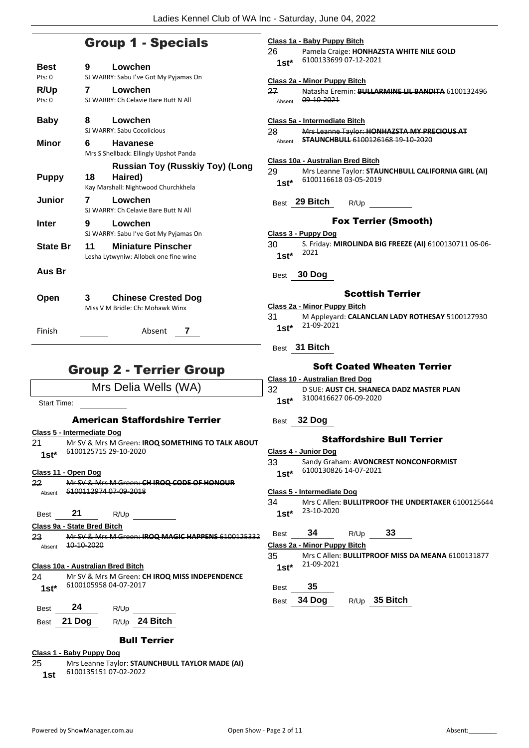## Group 1 - Specials

| <b>Best</b>      | 9  | Lowchen                                |
|------------------|----|----------------------------------------|
| $P$ ts: $\Omega$ |    | SJ WARRY: Sabu I've Got My Pyjamas On  |
| R/Up             | 7  | Lowchen                                |
| Pts: 0           |    | SJ WARRY: Ch Celavie Bare Butt N All   |
|                  |    |                                        |
| <b>Baby</b>      | 8  | Lowchen                                |
|                  |    | SJ WARRY: Sabu Cocolicious             |
| Minor            | 6  | <b>Havanese</b>                        |
|                  |    | Mrs S Shellback: Ellingly Upshot Panda |
|                  |    | Russian Toy (Russkiy Toy) (Long        |
| <b>Puppy</b>     | 18 | Haired)                                |
|                  |    | Kay Marshall: Nightwood Churchkhela    |
| Junior           | 7  | Lowchen                                |
|                  |    | SJ WARRY: Ch Celavie Bare Butt N All   |
| <b>Inter</b>     | 9  | Lowchen                                |
|                  |    | SJ WARRY: Sabu I've Got My Pyjamas On  |
| <b>State Br</b>  | 11 | <b>Miniature Pinscher</b>              |
|                  |    | Lesha Lytwyniw: Allobek one fine wine  |
| Aus Br           |    |                                        |
|                  |    |                                        |
|                  |    |                                        |
| Open             | 3  | <b>Chinese Crested Dog</b>             |
|                  |    | Miss V M Bridle: Ch: Mohawk Winx       |
|                  |    |                                        |
| Finish           |    | Absent<br>7                            |
|                  |    |                                        |

# Group 2 - Terrier Group

Mrs Delia Wells (WA)

Start Time:

### American Staffordshire Terrier

|             | Class 5 - Intermediate Dog                               |
|-------------|----------------------------------------------------------|
| 21          | Mr SV & Mrs M Green: <b>IROQ SOMETHING TO TALK ABOUT</b> |
| $1st*$      | 6100125715 29-10-2020                                    |
|             | Class 11 - Open Dog                                      |
| 22          | Mr SV & Mrs M Green: CH IROQ CODE OF HONOUR              |
| Absent      | 6100112974 07 09 2018                                    |
|             |                                                          |
| <b>Best</b> | - 21<br>R/Up                                             |
|             | Class 9a - State Bred Bitch                              |
| 23          | Mr SV & Mrs M Green: IROQ MAGIC HAPPENS 6100125332       |
| Absent      | 10-10-2020                                               |
|             |                                                          |
|             | Class 10a - Australian Bred Bitch                        |
| ົາ          | <b>AACOLO AACAA Croope CU IDOO AAICC INIDEDENIDENICE</b> |

24 Mr SV & Mrs M Green: **CH IROQ MISS INDEPENDENCE** 6100105958 04-07-2017 **1st\***

| Best | 24          | R/Up |               |
|------|-------------|------|---------------|
|      | Best 21 Dog |      | R/Up 24 Bitch |

### Bull Terrier

**Class 1 - Baby Puppy Dog**

25 Mrs Leanne Taylor: **STAUNCHBULL TAYLOR MADE (AI)** 6100135151 07-02-2022 **1st**

|    |                 | Class 1a - Baby Puppy Bitch              |      |                             |                                                          |
|----|-----------------|------------------------------------------|------|-----------------------------|----------------------------------------------------------|
|    | 26.<br>$1st^*$  | 6100133699 07-12-2021                    |      |                             | Pamela Craige: HONHAZSTA WHITE NILE GOLD                 |
|    |                 | Class 2a - Minor Puppy Bitch             |      |                             |                                                          |
|    | 27              | Absent 09 10 2021                        |      |                             | Natasha Eremin: BULLARMINE LIL BANDITA 6100132496        |
|    |                 | Class 5a - Intermediate Bitch            |      |                             | Mrs Leanne Taylor: HONHAZSTA MY PRECIOUS AT              |
|    | 28 -<br>Absent  | <b>STAUNCHBULL 6100126168 19 10 2020</b> |      |                             |                                                          |
|    |                 | Class 10a - Australian Bred Bitch        |      |                             |                                                          |
|    | 29 -            |                                          |      |                             | Mrs Leanne Taylor: STAUNCHBULL CALIFORNIA GIRL (AI)      |
|    | $1st^*$         | 6100116618 03-05-2019                    |      |                             |                                                          |
|    |                 | Best 29 Bitch                            | R/Up |                             |                                                          |
|    |                 |                                          |      | <b>Fox Terrier (Smooth)</b> |                                                          |
|    |                 | Class 3 - Puppy Dog                      |      |                             |                                                          |
|    | 30 -<br>$1st^*$ | 2021                                     |      |                             | S. Friday: MIROLINDA BIG FREEZE (AI) 6100130711 06-06-   |
|    | Best            | 30 Dog                                   |      |                             |                                                          |
|    |                 |                                          |      | Scottish Terrier            |                                                          |
|    |                 | <b>Class 2a - Minor Puppy Bitch</b>      |      |                             |                                                          |
|    | 31 -<br>$1st^*$ | 21-09-2021                               |      |                             | M Appleyard: CALANCLAN LADY ROTHESAY 5100127930          |
|    |                 | Best 31 Bitch                            |      |                             |                                                          |
|    |                 |                                          |      |                             | <b>Soft Coated Wheaten Terrier</b>                       |
|    |                 | <u> Class 10 - Australian Bred Doq</u>   |      |                             |                                                          |
|    | 32<br>1st*      | 3100416627 06-09-2020                    |      |                             | D SUE: AUST CH. SHANECA DADZ MASTER PLAN                 |
|    | Best            | 32 Dog                                   |      |                             |                                                          |
| л  |                 |                                          |      | Staffordshire Bull Terrier  |                                                          |
|    |                 | Class 4 - Junior Dog                     |      |                             |                                                          |
|    | 33              |                                          |      |                             | Sandy Graham: AVONCREST NONCONFORMIST                    |
|    | $1st*$          | 6100130826 14-07-2021                    |      |                             |                                                          |
|    |                 | Class 5 - Intermediate Dog               |      |                             |                                                          |
|    | 34              |                                          |      |                             | Mrs C Allen: BULLITPROOF THE UNDERTAKER 6100125644       |
|    | $1st^*$         | 23-10-2020                               |      |                             |                                                          |
| 32 | Best            | 34                                       | R/Up | 33                          |                                                          |
|    |                 | Class 2a - Minor Puppy Bitch             |      |                             |                                                          |
|    | 35              |                                          |      |                             | Mrs C Allen: <b>BULLITPROOF MISS DA MEANA</b> 6100131877 |
|    | $1st*$          | 21-09-2021                               |      |                             |                                                          |
|    | <b>Best</b>     | 35                                       |      |                             |                                                          |

Best **34 Dog** R/Up **35 Bitch**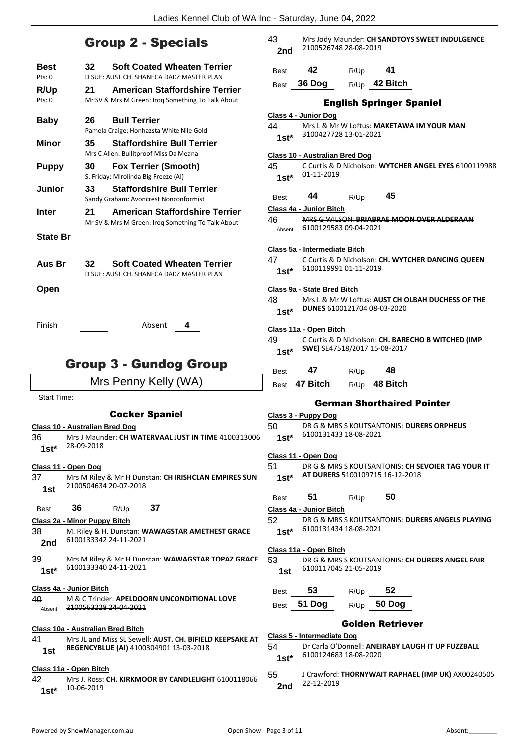### Group 2 - Specials

| Best<br>Pts: 0  | <b>Soft Coated Wheaten Terrier</b><br>32<br>D SUE: AUST CH. SHANECA DADZ MASTER PLAN             |
|-----------------|--------------------------------------------------------------------------------------------------|
| R/Up<br>Pts: 0  | <b>American Staffordshire Terrier</b><br>21<br>Mr SV & Mrs M Green: Iroq Something To Talk About |
| <b>Baby</b>     | <b>Bull Terrier</b><br>26<br>Pamela Craige: Honhazsta White Nile Gold                            |
| Minor           | <b>Staffordshire Bull Terrier</b><br>35<br>Mrs C Allen: Bullitproof Miss Da Meana                |
| <b>Puppy</b>    | 30<br><b>Fox Terrier (Smooth)</b><br>S. Friday: Mirolinda Big Freeze (AI)                        |
| Junior          | <b>Staffordshire Bull Terrier</b><br>33<br>Sandy Graham: Avoncrest Nonconformist                 |
| Inter           | <b>American Staffordshire Terrier</b><br>21<br>Mr SV & Mrs M Green: Irog Something To Talk About |
| <b>State Br</b> |                                                                                                  |
| Aus Br          | <b>Soft Coated Wheaten Terrier</b><br>32<br>D SUE: AUST CH. SHANECA DADZ MASTER PLAN             |
| Open            |                                                                                                  |
| Finish          | Absent<br>4                                                                                      |
|                 | <b>Group 3 - Gundog Group</b>                                                                    |

Mrs Penny Kelly (WA)

Start Time:

### Cocker Spaniel

### **Class 10 - Australian Bred Dog**

- 36 Mrs J Maunder: **CH WATERVAAL JUST IN TIME** 4100313006 28-09-2018 **1st\***
- **Class 11 - Open Dog**
- 37 Mrs M Riley & Mr H Dunstan: **CH IRISHCLAN EMPIRES SUN** 2100504634 20-07-2018 **1st**

Best **36** R/Up **37**

**Class 2a - Minor Puppy Bitch**

- 38 M. Riley & H. Dunstan: **WAWAGSTAR AMETHEST GRACE 2nd** 6100133342 24-11-2021
- 39 Mrs M Riley & Mr H Dunstan: **WAWAGSTAR TOPAZ GRACE** 6100133340 24-11-2021 **1st\***

**Class 4a - Junior Bitch**

| 40     | M & C Trinder: ADELDOORN UNCONDITIONAL LOVE |
|--------|---------------------------------------------|
| Absent | <del>2100563228 24 04 2021</del>            |

### **Class 10a - Australian Bred Bitch**

41 Mrs JL and Miss SL Sewell: **AUST. CH. BIFIELD KEEPSAKE AT REGENCYBLUE (AI)** 4100304901 13-03-2018 **1st**

### **Class 11a - Open Bitch**

42 Mrs J. Ross: **CH. KIRKMOOR BY CANDLELIGHT** 6100118066 10-06-2019 **1st\***

| 43  | Mrs Jody Maunder: CH SANDTOYS SWEET INDULGENCE |
|-----|------------------------------------------------|
| 2nd | 2100526748 28-08-2019                          |

| <b>Best</b> | 42            | R/Up | 41              |
|-------------|---------------|------|-----------------|
|             | Best $36$ Dog |      | $R/Up$ 42 Bitch |

### English Springer Spaniel

|               |                                       |           | <b>English Springer Spaniel</b>   |                                                       |
|---------------|---------------------------------------|-----------|-----------------------------------|-------------------------------------------------------|
|               | Class 4 - Junior Dog                  |           |                                   |                                                       |
| 44            |                                       |           |                                   | Mrs L & Mr W Loftus: MAKETAWA IM YOUR MAN             |
|               | 1st* 3100427728 13-01-2021            |           |                                   |                                                       |
|               |                                       |           |                                   |                                                       |
|               | <b>Class 10 - Australian Bred Dog</b> |           |                                   |                                                       |
| 45 —          |                                       |           |                                   | C Curtis & D Nicholson: WYTCHER ANGEL EYES 6100119988 |
| $1st^*$       | 01-11-2019                            |           |                                   |                                                       |
|               |                                       |           |                                   |                                                       |
| <b>Best</b>   | $44$ R/Up                             |           | 45                                |                                                       |
|               | Class 4a - Junior Bitch               |           |                                   |                                                       |
|               |                                       |           |                                   | 46 MRS G WILSON: BRIABRAE MOON OVER ALDERAAN          |
|               | Absent 6100129583 09-04-2021          |           |                                   |                                                       |
|               |                                       |           |                                   |                                                       |
|               | Class 5a - Intermediate Bitch         |           |                                   |                                                       |
| 47            |                                       |           |                                   | C Curtis & D Nicholson: CH. WYTCHER DANCING QUEEN     |
| $1st^*$       | 6100119991 01-11-2019                 |           |                                   |                                                       |
|               |                                       |           |                                   |                                                       |
|               | Class 9a - State Bred Bitch           |           |                                   |                                                       |
| 48 —          |                                       |           |                                   | Mrs L & Mr W Loftus: AUST CH OLBAH DUCHESS OF THE     |
| $1st^*$       | DUNES 6100121704 08-03-2020           |           |                                   |                                                       |
|               |                                       |           |                                   |                                                       |
|               | Class 11a - Open Bitch                |           |                                   |                                                       |
| 49            |                                       |           |                                   | C Curtis & D Nicholson: CH. BARECHO B WITCHED (IMP    |
|               | 1st* SWE) SE47518/2017 15-08-2017     |           |                                   |                                                       |
|               |                                       |           |                                   |                                                       |
| Best          | 47                                    |           | $R/Up$ 48                         |                                                       |
|               |                                       |           |                                   |                                                       |
|               |                                       |           |                                   |                                                       |
|               |                                       |           | Best 47 Bitch R/Up 48 Bitch       |                                                       |
|               |                                       |           |                                   |                                                       |
|               |                                       |           | <b>German Shorthaired Pointer</b> |                                                       |
|               | <u> Class 3 - Puppy Dog</u>           |           |                                   |                                                       |
|               |                                       |           |                                   | 50 DR G & MRS S KOUTSANTONIS: DURERS ORPHEUS          |
| $1st^*$       | 6100131433 18-08-2021                 |           |                                   |                                                       |
|               |                                       |           |                                   |                                                       |
|               | Class 11 - Open Dog                   |           |                                   |                                                       |
| 51 —          |                                       |           |                                   | DR G & MRS S KOUTSANTONIS: CH SEVOIER TAG YOUR IT     |
| $1st^*$       | AT DURERS 5100109715 16-12-2018       |           |                                   |                                                       |
|               |                                       |           |                                   |                                                       |
| Best          | 51                                    | R/Up      | 50                                |                                                       |
|               | Class 4a - Junior Bitch               |           |                                   |                                                       |
|               |                                       |           |                                   | DR G & MRS S KOUTSANTONIS: DURERS ANGELS PLAYING      |
| 52            | 6100131434 18-08-2021                 |           |                                   |                                                       |
| $1st^*$       |                                       |           |                                   |                                                       |
|               | Class 11a - Open Bitch                |           |                                   |                                                       |
| 53            |                                       |           |                                   | DR G & MRS S KOUTSANTONIS: CH DURERS ANGEL FAIR       |
|               | 6100117045 21-05-2019                 |           |                                   |                                                       |
| 1st           |                                       |           |                                   |                                                       |
|               |                                       |           |                                   |                                                       |
| Best          | 53                                    | $R/Up$ 52 |                                   |                                                       |
|               | Best 51 Dog                           |           | R/Up 50 Dog                       |                                                       |
|               |                                       |           |                                   |                                                       |
|               |                                       |           | <b>Golden Retriever</b>           |                                                       |
|               | Class 5 - Intermediate Dog            |           |                                   |                                                       |
| 54<br>$1st^*$ | 6100124683 18-08-2020                 |           |                                   | Dr Carla O'Donnell: ANEIRABY LAUGH IT UP FUZZBALL     |

### 55 J Crawford: **THORNYWAIT RAPHAEL (IMP UK)** AX00240505 22-12-2019 **2nd**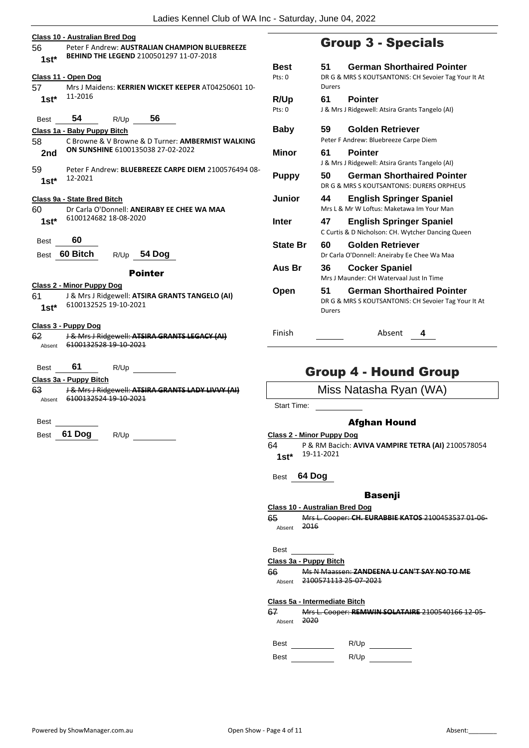| 56<br>$1st^*$  | Class 10 - Australian Bred Dog<br>Peter F Andrew: AUSTRALIAN CHAMPION BLUEBREEZE<br>BEHIND THE LEGEND 2100501297 11-07-2018 |                    |
|----------------|-----------------------------------------------------------------------------------------------------------------------------|--------------------|
| 57 -           | Class 11 - Open Dog<br>Mrs J Maidens: KERRIEN WICKET KEEPER AT04250601 10-                                                  | Best<br>Pts: 0     |
| 1st $^{\star}$ | 11-2016                                                                                                                     | R/Up<br>Pts: 0     |
| Best           | 54 R/Up 56                                                                                                                  |                    |
|                | Class 1a - Baby Puppy Bitch                                                                                                 | <b>Baby</b>        |
| 58<br>2nd      | C Browne & V Browne & D Turner: AMBERMIST WALKING<br>ON SUNSHINE 6100135038 27-02-2022                                      | Mino               |
| 59<br>$1st^*$  | Peter F Andrew: BLUEBREEZE CARPE DIEM 2100576494 08-<br>12-2021                                                             | Pupp               |
|                | Class 9a - State Bred Bitch                                                                                                 | Junio              |
| 60.            | Dr Carla O'Donnell: ANEIRABY EE CHEE WA MAA                                                                                 |                    |
| 1st*           | 6100124682 18-08-2020                                                                                                       | Inter              |
| Best           | 60                                                                                                                          | <b>State</b>       |
|                | Best 60 Bitch<br>R/Up 54 Dog                                                                                                |                    |
|                | <b>Pointer</b>                                                                                                              | Aus                |
|                | <b>Class 2 - Minor Puppy Dog</b>                                                                                            |                    |
| 61             | J & Mrs J Ridgewell: ATSIRA GRANTS TANGELO (AI)                                                                             | Oper               |
| $1st^*$        | 6100132525 19-10-2021                                                                                                       |                    |
|                | Class 3 - Puppy Dog                                                                                                         |                    |
| 62             | J & Mrs J Ridgewell: ATSIRA GRANTS LEGACY (AI)                                                                              | Finish             |
| Absent         | 6100132528 19-10-2021                                                                                                       |                    |
| Best           | 61<br>R/Up                                                                                                                  |                    |
|                | Class 3a - Puppy Bitch                                                                                                      |                    |
| 63             | J & Mrs J Ridgewell: ATSIRA GRANTS LADY LIVVY (AI)<br>Absent 6100132524 19-10-2021                                          |                    |
|                |                                                                                                                             | Start <sup>-</sup> |
| Best           |                                                                                                                             |                    |

Best **61 Dog** R/Up

# Group 3 - Specials

| Best<br>Pts: 0  | 51<br>Durers | <b>German Shorthaired Pointer</b><br>DR G & MRS S KOUTSANTONIS: CH Sevoier Tag Your It At |
|-----------------|--------------|-------------------------------------------------------------------------------------------|
| R/Up            | 61           | <b>Pointer</b>                                                                            |
| Pts: 0          |              | J & Mrs J Ridgewell: Atsira Grants Tangelo (AI)                                           |
| Baby            | 59           | Golden Retriever                                                                          |
|                 |              | Peter F Andrew: Bluebreeze Carpe Diem                                                     |
| Minor           | 61           | <b>Pointer</b>                                                                            |
|                 |              | J & Mrs J Ridgewell: Atsira Grants Tangelo (AI)                                           |
| Puppy           | 50           | <b>German Shorthaired Pointer</b><br>DR G & MRS S KOUTSANTONIS: DURERS ORPHEUS            |
| Junior          | 44           | <b>English Springer Spaniel</b><br>Mrs L & Mr W Loftus: Maketawa Im Your Man              |
| Inter           | 47           | <b>English Springer Spaniel</b><br>C Curtis & D Nicholson: CH. Wytcher Dancing Queen      |
| <b>State Br</b> | 60           | Golden Retriever<br>Dr Carla O'Donnell: Aneiraby Ee Chee Wa Maa                           |
| Aus Br          | 36           | <b>Cocker Spaniel</b><br>Mrs J Maunder: CH Watervaal Just In Time                         |
| Open            | 51<br>Durers | <b>German Shorthaired Pointer</b><br>DR G & MRS S KOUTSANTONIS: CH Sevoier Tag Your It At |

Absent 4

### Group 4 - Hound Group

Miss Natasha Ryan (WA)

Time:

### Afghan Hound

**Class 2 - Minor Puppy Dog**

64 P & RM Bacich: **AVIVA VAMPIRE TETRA (AI)** 2100578054 19-11-2021 **1st\***

Best **64 Dog**

### Basenji

**Class 10 - Australian Bred Dog**

65 Mrs L. Cooper: **CH. EURABBIE KATOS** 2100453537 01-06- Absent

Best

### **Class 3a - Puppy Bitch**

66 Ms N Maassen: **ZANDEENA U CAN'T SAY NO TO ME** Absent 2100571113 25-07-2021

### **Class 5a - Intermediate Bitch**

67 Mrs L. Cooper: **REMWIN SOLATAIRE** 2100540166 12-05- Absent 2020

Best R/Up

Best R/Up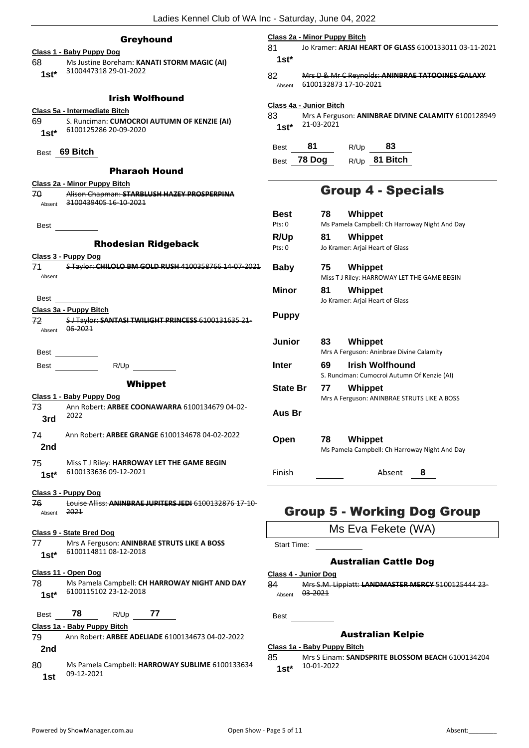### Greyhound

|             |                                                               | 81           |
|-------------|---------------------------------------------------------------|--------------|
|             | Class 1 - Baby Puppy Dog                                      |              |
|             | 68 Ms Justine Boreham: KANATI STORM MAGIC (AI)                | 1            |
| $1st^*$     | 3100447318 29-01-2022                                         | 82           |
|             |                                                               | A            |
|             | <b>Irish Wolfhound</b>                                        |              |
|             |                                                               | Clas         |
|             | Class 5a - Intermediate Bitch                                 | 83           |
|             | 69 S. Runciman: CUMOCROI AUTUMN OF KENZIE (AI)                | 1            |
|             | 1st* 6100125286 20-09-2020                                    |              |
|             |                                                               | Be           |
|             | Best 69 Bitch                                                 |              |
|             |                                                               | Be           |
|             | <b>Pharaoh Hound</b>                                          |              |
|             | Class 2a - Minor Puppy Bitch                                  |              |
| 70.         | Alison Chapman: STARBLUSH HAZEY PROSPERPINA                   |              |
|             | Absent 3100439405 16-10-2021                                  |              |
|             |                                                               | B)           |
|             |                                                               | Pts          |
|             |                                                               | R/           |
|             | <b>Rhodesian Ridgeback</b>                                    | Pts          |
|             | Class 3 - Puppy Dog                                           |              |
|             | 71 STaylor: CHILOLO BM GOLD RUSH 4100358766 14-07-2021        | Βa           |
| Absent      |                                                               |              |
|             |                                                               | м            |
| <b>Best</b> |                                                               |              |
|             | Class 3a - Puppy Bitch                                        |              |
|             | 72 SJ Taylor: SANTASI TWILIGHT PRINCESS 6100131635 21-        | Ρι           |
|             | Absent 06-2021                                                |              |
|             |                                                               | Jι           |
| Best        |                                                               |              |
|             |                                                               |              |
| <b>Best</b> | R/Up                                                          | In           |
|             |                                                               |              |
|             |                                                               |              |
|             | <b>Whippet</b>                                                | St           |
|             | Class 1 - Baby Puppy Dog                                      |              |
| 73 —        | Ann Robert: ARBEE COONAWARRA 6100134679 04-02-                | Αι           |
| 3rd         | 2022                                                          |              |
|             |                                                               |              |
| 74          | Ann Robert: ARBEE GRANGE 6100134678 04-02-2022                | $\mathbf{O}$ |
| 2nd         |                                                               |              |
| 75          | Miss T J Riley: HARROWAY LET THE GAME BEGIN                   |              |
|             | 6100133636 09-12-2021                                         | Fir          |
| $1st*$      |                                                               |              |
|             | Class 3 - Puppy Dog                                           |              |
| 76          | Louise Alliss: ANINBRAE JUPITERS JEDI 6100132876 17 10        |              |
| Absent      | 2021                                                          |              |
|             |                                                               |              |
|             | <u>Class 9 - State Bred Dog</u>                               |              |
| 77          | Mrs A Ferguson: ANINBRAE STRUTS LIKE A BOSS                   | St           |
| 1st*        | 6100114811 08-12-2018                                         |              |
|             |                                                               |              |
|             | <u>Class 11 - Open Dog</u>                                    | <u>Clas</u>  |
| 78          | Ms Pamela Campbell: CH HARROWAY NIGHT AND DAY                 | 84           |
| 1st*        | 6100115102 23-12-2018                                         | A            |
|             |                                                               |              |
| Best        | 78<br>77<br>R/Up                                              | Be           |
|             | Class 1a - Baby Puppy Bitch                                   |              |
| 79          | Ann Robert: ARBEE ADELIADE 6100134673 04-02-2022              |              |
|             |                                                               | <b>Clas</b>  |
| 2nd         |                                                               | 85           |
| 80          | Ms Pamela Campbell: HARROWAY SUBLIME 6100133634<br>09-12-2021 | 1            |

#### **Class 2a - Minor Puppy Bitch**

81 Jo Kramer: **ARJAI HEART OF GLASS** 6100133011 03-11-2021 **1st\***

82 Mrs D & Mr C Reynolds: **ANINBRAE TATOOINES GALAXY** Absent 6100132873 17 10 2021

### **Class 4a - Junior Bitch**

83 Mrs A Ferguson: **ANINBRAE DIVINE CALAMITY** 6100128949 21-03-2021 **1st\***

| Best | 81          | R/Up | 83              |
|------|-------------|------|-----------------|
|      | Best 78 Dog |      | $R/Up$ 81 Bitch |

### Group 4 - Specials

| Best<br>Pts: 0  | 78. | Whippet<br>Ms Pamela Campbell: Ch Harroway Night And Day       |
|-----------------|-----|----------------------------------------------------------------|
| R/Up<br>Pts: 0  | 81  | Whippet<br>Jo Kramer: Arjai Heart of Glass                     |
| <b>Baby</b>     | 75  | <b>Whippet</b><br>Miss T J Riley: HARROWAY LET THE GAME BEGIN  |
| Minor           | 81  | <b>Whippet</b><br>Jo Kramer: Arjai Heart of Glass              |
| <b>Puppy</b>    |     |                                                                |
| Junior          | 83  | Whippet<br>Mrs A Ferguson: Aninbrae Divine Calamity            |
| Inter           | 69  | Irish Wolfhound<br>S. Runciman: Cumocroi Autumn Of Kenzie (AI) |
| <b>State Br</b> | 77  | Whippet<br>Mrs A Ferguson: ANINBRAE STRUTS LIKE A BOSS         |
| Aus Br          |     |                                                                |
| Open            | 78  | Whippet<br>Ms Pamela Campbell: Ch Harroway Night And Day       |
| Finish          |     | Absent<br>8                                                    |

### Group 5 - Working Dog Group

Ms Eva Fekete (WA)

tart Time:

### Australian Cattle Dog

### **Class 4 - Junior Dog**

84 Mrs S.M. Lippiatt: **LANDMASTER MERCY** 5100125444 23 bsent 03-2021

est <u>I</u>

### Australian Kelpie

### **Class 1a - Baby Puppy Bitch**

85 Mrs S Einam: **SANDSPRITE BLOSSOM BEACH** 6100134204 10-01-2022 **1st\***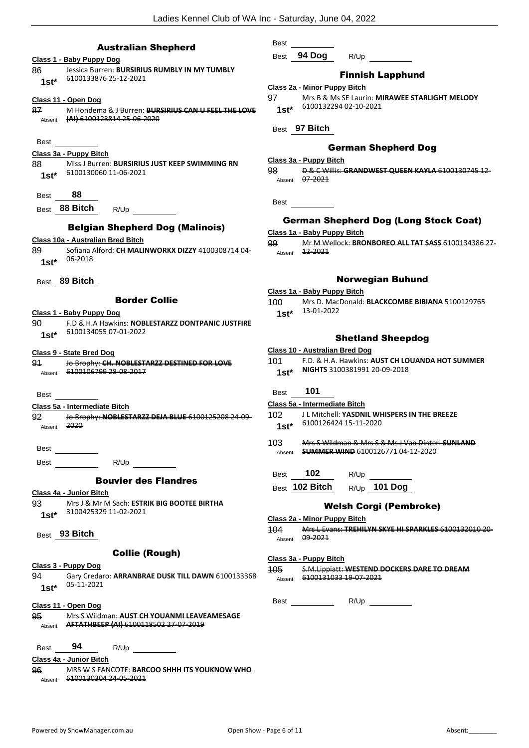### Australian Shepherd

| Class 1 - Baby Puppy Dog                                                    | Best               |
|-----------------------------------------------------------------------------|--------------------|
| Jessica Burren: BURSIRIUS RUMBLY IN MY TUMBLY<br>86                         |                    |
| 6100133876 25-12-2021<br>$1st^*$                                            |                    |
|                                                                             | Class 2            |
| <u>Class 11 - Open Dog</u>                                                  | 97.                |
| 87<br>M Hondema & J Burren: BURSIRIUS CAN U FEEL THE LOVE                   | $1st*$             |
| (AI) 6100123814 25-06-2020<br>Absent                                        |                    |
|                                                                             | Best               |
| Best                                                                        |                    |
| Class 3a - Puppy Bitch                                                      |                    |
| Miss J Burren: BURSIRIUS JUST KEEP SWIMMING RN<br>88 -                      | Class 3            |
| 6100130060 11-06-2021<br>$1st^*$                                            | 98                 |
|                                                                             | Absent             |
| 88<br>Best                                                                  |                    |
| Best 88 Bitch                                                               | Best               |
| R/Up                                                                        |                    |
| <b>Belgian Shepherd Dog (Malinois)</b>                                      | Gc                 |
| Class 10a - Australian Bred Bitch                                           | Class 1            |
| Sofiana Alford: CH MALINWORKX DIZZY 4100308714 04-                          | 99                 |
| 89<br>06-2018                                                               | Absent             |
| $1st^*$                                                                     |                    |
| Best 89 Bitch                                                               |                    |
|                                                                             | Class 1            |
| <b>Border Collie</b>                                                        | 100                |
|                                                                             |                    |
| <u> Class 1 - Baby Puppy Dog</u>                                            | $1st*$             |
| F.D & H.A Hawkins: NOBLESTARZZ DONTPANIC JUSTFIRE<br>6100134055 07-01-2022  |                    |
| $1st^*$                                                                     |                    |
| <b>Class 9 - State Bred Dog</b>                                             | Class 1            |
| Jo Brophy: CH. NOBLESTARZZ DESTINED FOR LOVE<br>91                          | 101 -              |
| Absent 6100106799 28 08 2017                                                | $1st*$             |
|                                                                             |                    |
| Best                                                                        | Best               |
|                                                                             | Class 5            |
| Class 5a - Intermediate Bitch                                               | 102                |
| 92.<br>Jo Brophy: NOBLESTARZZ DEJA BLUE 6100125208 24-09-<br>2020<br>Absent | $1st*$             |
|                                                                             |                    |
|                                                                             | 103                |
| <b>Best</b>                                                                 | Absent             |
| R/Up<br>Best                                                                |                    |
|                                                                             | Best               |
| <b>Bouvier des Flandres</b>                                                 | Best               |
| Class 4a - Junior Bitch                                                     |                    |
| 93<br>Mrs J & Mr M Sach: ESTRIK BIG BOOTEE BIRTHA                           |                    |
| 3100425329 11-02-2021<br>$1st^*$                                            | Class <sub>2</sub> |
|                                                                             | 104                |
| Best 93 Bitch                                                               | Absent             |
|                                                                             |                    |
| <b>Collie (Rough)</b>                                                       | Class 3            |
| <u> Class 3 - Puppy Dog</u>                                                 | 405.               |
| 94<br>Gary Credaro: ARRANBRAE DUSK TILL DAWN 6100133368                     | Absent             |
| 05-11-2021<br>$1st^*$                                                       |                    |
|                                                                             | Best <sub>_</sub>  |
| <u> Class 11 - Open Dog</u>                                                 |                    |
| 95<br>Mrs S Wildman: AUST CH YOUANMI LEAVEAMESAGE                           |                    |
| Absent <b>AFTATHBEEP (AI) 6100118502 27 07 2019</b>                         |                    |
|                                                                             |                    |
|                                                                             |                    |
| - 94<br>Best<br>R/Up                                                        |                    |
| Class 4a - Junior Bitch                                                     |                    |
| <b>MRS W S FANCOTE: BARCOO SHHH ITS YOUKNOW WHO</b><br>96                   |                    |
| Absent 6100130304 24-05-2021                                                |                    |

Best

**94 Dog** R/Up \_\_

### Finnish Lapphund

|  |  | Class 2a - Minor Puppy Bitch |
|--|--|------------------------------|
|  |  |                              |

| 97    | Mrs B & Ms SE Laurin: MIRAWEE STARLIGHT MELODY |
|-------|------------------------------------------------|
| $1c+$ | 6100132294 02-10-2021                          |

### German Shepherd Dog

### **Class 3a - Puppy Bitch**

98 D & C Willis: **GRANDWEST QUEEN KAYLA** 6100130745 12- 07-2021

### erman Shepherd Dog (Long Stock Coat)

### **Class 1a - Baby Puppy Bitch**

99 Mr M Wellock: **BRONBOREO ALL TAT SASS** 6100134386 27- Absent 12-2021

### Norwegian Buhund

- **Class 1a - Baby Puppy Bitch**
- 100 Mrs D. MacDonald: **BLACKCOMBE BIBIANA** 5100129765 13-01-2022 **1st\***

### Shetland Sheepdog

|        | Class 10 - Australian Bred Dog                  |
|--------|-------------------------------------------------|
| 101    | F.D. & H.A. Hawkins: AUST CH LOUANDA HOT SUMMER |
| $1st*$ | NIGHTS 3100381991 20-09-2018                    |

### Best **101**

### **Class 5a - Intermediate Bitch**

- 102 J L Mitchell: **YASDNIL WHISPERS IN THE BREEZE**
- 6100126424 15-11-2020 **1st\***
- 103 Mrs S Wildman & Mrs S & Ms J Van Dinter: **SUNLAND**  Absent **SUMMER WIND** 6100126771 04-12-2020
- 102 R/Up \_
- Best **102 Bitch** R/Up **101 Dog**

### Welsh Corgi (Pembroke)

**Class 2a - Minor Puppy Bitch**

104 Mrs L Evans: **TREHILYN SKYE HI SPARKLES** 6100132010 20- 09-2021

### **Class 3a - Puppy Bitch**

105 S.M.Lippiatt: **WESTEND DOCKERS DARE TO DREAM** 6100131033 19-07-2021

 $R/Up$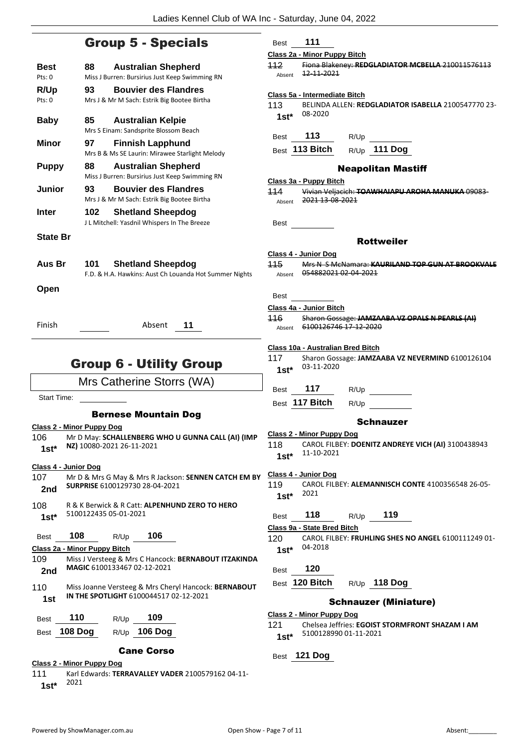### Group 5 - Specials

| Best<br>Pts: 0                    | <b>Australian Shepherd</b><br>88<br>Miss J Burren: Bursirius Just Keep Swimming RN          |
|-----------------------------------|---------------------------------------------------------------------------------------------|
| R/Up<br>Pts: 0                    | <b>Bouvier des Flandres</b><br>93<br>Mrs J & Mr M Sach: Estrik Big Bootee Birtha            |
| <b>Baby</b>                       | 85<br><b>Australian Kelpie</b><br>Mrs S Einam: Sandsprite Blossom Beach                     |
| <b>Minor</b>                      | 97<br><b>Finnish Lapphund</b><br>Mrs B & Ms SE Laurin: Mirawee Starlight Melody             |
| <b>Puppy</b>                      | 88<br><b>Australian Shepherd</b><br>Miss J Burren: Bursirius Just Keep Swimming RN          |
| Junior                            | 93<br><b>Bouvier des Flandres</b><br>Mrs J & Mr M Sach: Estrik Big Bootee Birtha            |
| <b>Inter</b>                      | 102<br><b>Shetland Sheepdog</b><br>J L Mitchell: Yasdnil Whispers In The Breeze             |
| <b>State Br</b>                   |                                                                                             |
| Aus Br                            | 101 -<br><b>Shetland Sheepdog</b><br>F.D. & H.A. Hawkins: Aust Ch Louanda Hot Summer Nights |
| Open                              |                                                                                             |
| Finish                            | Absent<br>11                                                                                |
|                                   | <b>Group 6 - Utility Group</b>                                                              |
|                                   | Mrs Catherine Storrs (WA)                                                                   |
| <b>Start Time:</b>                |                                                                                             |
|                                   | <b>Bernese Mountain Dog</b>                                                                 |
| <u> Class 2 - Minor Puppy Dog</u> |                                                                                             |
| 106                               | Mr D May: SCHALLENBERG WHO U GUNNA CALL (AI) (IN                                            |

#### **Class 2 - Minor Puppy Dog**

106 Mr D May: **SCHALLENBERG WHO U GUNNA CALL (AI) (IMP NZ)** 10080-2021 26-11-2021 **1st\***

#### **Class 4 - Junior Dog**

| 107<br>2nd    | Mr D & Mrs G May & Mrs R Jackson: SENNEN CATCH EM BY<br>SURPRISE 6100129730 28-04-2021 |                                        |     |                                                             |
|---------------|----------------------------------------------------------------------------------------|----------------------------------------|-----|-------------------------------------------------------------|
| 108<br>$1st*$ |                                                                                        | 5100122435 05-01-2021                  |     | R & K Berwick & R Catt: ALPENHUND ZERO TO HERO              |
| <b>Best</b>   | 108                                                                                    | R/Up                                   | 106 |                                                             |
|               | Class 2a - Minor Puppy Bitch                                                           |                                        |     |                                                             |
| 109           |                                                                                        |                                        |     | Miss J Versteeg & Mrs C Hancock: BERNABOUT ITZAKINDA        |
| 2nd           |                                                                                        | MAGIC 6100133467 02-12-2021            |     |                                                             |
| 110           |                                                                                        |                                        |     | Miss Joanne Versteeg & Mrs Cheryl Hancock: <b>BERNABOUT</b> |
| 1st           |                                                                                        | IN THE SPOTLIGHT 6100044517 02-12-2021 |     |                                                             |

| <b>Best</b> | 110          | R/Up | 109            |
|-------------|--------------|------|----------------|
|             | Best 108 Dog |      | $R/Up$ 106 Dog |

### Cane Corso

**Class 2 - Minor Puppy Dog**

111 Karl Edwards: **TERRAVALLEY VADER** 2100579162 04-11- <sup>2021</sup> **1st\***

Best **111**

### **Class 2a - Minor Puppy Bitch**

112 Fiona Blakeney: **REDGLADIATOR MCBELLA** 210011576113  $A<sub>h</sub>$ <sub>Absent</sub>  $12 - 11 - 2021$ 

### **Class 5a - Intermediate Bitch**

113 BELINDA ALLEN: **REDGLADIATOR ISABELLA** 2100547770 23- 08-2020 **1st\***

Best **113** R/Up

Best **113 Bitch** R/Up **111 Dog**

### Neapolitan Mastiff

### **Class 3a - Puppy Bitch**

114 Vivian Veljacich: **TOAWHAIAPU AROHA MANUKA** 09083- Absent 2021 13-08-2021

Best

### Rottweiler

### **Class 4 - Junior Dog**

115 Mrs N S McNamara: **KAURILAND TOP GUN AT BROOKVALE** Absent 054882021 02-04-2021

Best

### **Class 4a - Junior Bitch**

116 Sharon Gossage: **JAMZAABA VZ OPALS N PEARLS (AI)** Absent 6100126746 17 12 2020

### **Class 10a - Australian Bred Bitch**

117 Sharon Gossage: **JAMZAABA VZ NEVERMIND** 6100126104 03-11-2020 **1st\***

Best **117** R/Up \_

Best **117 Bitch** R/Up

### **Schnauzer**

**Class 2 - Minor Puppy Dog** 118 CAROL FILBEY: **DOENITZ ANDREYE VICH (AI)** 3100438943 11-10-2021 **1st\***

#### **Class 4 - Junior Dog**

119 CAROL FILBEY: **ALEMANNISCH CONTE** 4100356548 26-05- <sup>2021</sup> **1st\***

### Best **118** R/Up **119**

### **Class 9a - State Bred Bitch**

120 CAROL FILBEY: **FRUHLING SHES NO ANGEL** 6100111249 01- 04-2018 **1st\***

### Best **120**

Best **120 Bitch** R/Up **118 Dog**

### Schnauzer (Miniature)

**Class 2 - Minor Puppy Dog** 121 Chelsea Jeffries: **EGOIST STORMFRONT SHAZAM I AM** 5100128990 01-11-2021 **1st\***

Best **121 Dog**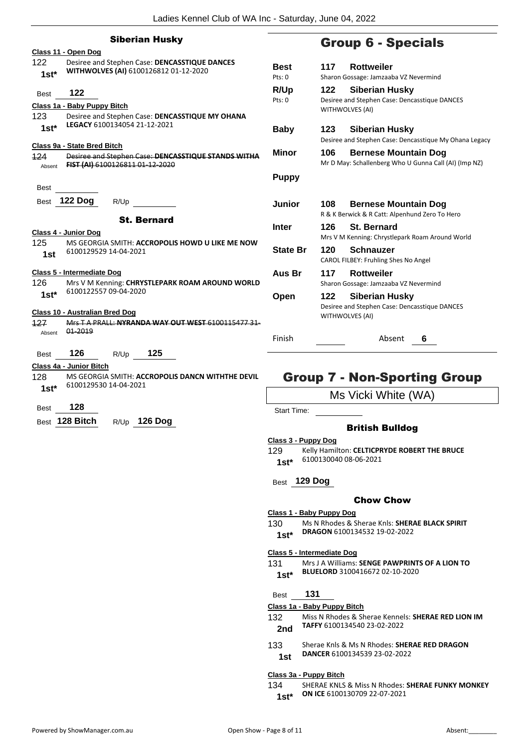|               | <b>Siberian Husky</b>                                                                                                         |                 |                                                      |
|---------------|-------------------------------------------------------------------------------------------------------------------------------|-----------------|------------------------------------------------------|
|               | Class 11 - Open Dog                                                                                                           |                 | Group 6                                              |
| 122<br>$1st*$ | Desiree and Stephen Case: DENCASSTIQUE DANCES<br>WITHWOLVES (AI) 6100126812 01-12-2020                                        | Best<br>Pts: 0  | 117<br>Rotty<br>Sharon Gossage:                      |
| <b>Best</b>   | 122                                                                                                                           | R/Up<br>Pts: 0  | Siber<br>122<br>Desiree and Stepl                    |
| 123           | Class 1a - Baby Puppy Bitch<br>Desiree and Stephen Case: DENCASSTIQUE MY OHANA                                                |                 | <b>WITHWOLVES (AI</b>                                |
| $1st*$        | LEGACY 6100134054 21-12-2021                                                                                                  | <b>Baby</b>     | 123<br>Siber<br>Desiree and Stepl                    |
| 124<br>Absent | <u> Class 9a - State Bred Bitch</u><br>Desiree and Stephen Case: DENCASSTIQUE STANDS WITHA<br>FIST (AI) 6100126811 01 12 2020 | Minor           | 106<br><b>Bern</b><br>Mr D May: Schall               |
| <b>Best</b>   |                                                                                                                               | <b>Puppy</b>    |                                                      |
| <b>Best</b>   | <b>122 Dog</b><br>R/Up                                                                                                        | Junior          | 108<br><b>Bern</b>                                   |
|               | <b>St. Bernard</b><br><b>Class 4 - Junior Dog</b>                                                                             | <b>Inter</b>    | R & K Berwick & F<br>126<br>St. B<br>Mrs V M Kenning |
| 125<br>1st    | MS GEORGIA SMITH: ACCROPOLIS HOWD U LIKE ME NOW<br>6100129529 14-04-2021                                                      | <b>State Br</b> | Schn<br>120<br><b>CAROL FILBEY: Fr</b>               |
| 126           | <b>Class 5 - Intermediate Dog</b><br>Mrs V M Kenning: CHRYSTLEPARK ROAM AROUND WORLD                                          | Aus Br          | 117<br><b>Rotty</b><br>Sharon Gossage:               |
| $1st^*$       | 6100122557 09-04-2020                                                                                                         | Open            | 122<br>Siber<br>Desiree and Stepl                    |
| 127           | Class 10 - Australian Bred Dog<br>Mrs T A PRALL: NYRANDA WAY OUT WEST 6100115477 31-<br>01 2019                               |                 | WITHWOLVES (AI                                       |
| Absent        |                                                                                                                               | Finish          |                                                      |
| <b>Best</b>   | 126<br>125<br>R/Up                                                                                                            |                 |                                                      |
|               | Class 4a - Junior Bitch                                                                                                       |                 |                                                      |
| 128           | MS GEORGIA SMITH: ACCROPOLIS DANCN WITHTHE DEVIL                                                                              |                 | Group 7 - Nor                                        |

# **G** - Specials

| Best                            | <b>Rottweiler</b><br>117                                                                                |  |  |
|---------------------------------|---------------------------------------------------------------------------------------------------------|--|--|
| Pts: 0                          | Sharon Gossage: Jamzaaba VZ Nevermind                                                                   |  |  |
| <b>R/Up</b><br>$P$ ts: $\Omega$ | <b>Siberian Husky</b><br>122<br>Desiree and Stephen Case: Dencasstique DANCES<br><b>WITHWOLVES (AI)</b> |  |  |
| Baby                            | <b>Siberian Husky</b><br>123<br>Desiree and Stephen Case: Dencasstique My Ohana Legacy                  |  |  |
| Minor                           | 106<br><b>Bernese Mountain Dog</b><br>Mr D May: Schallenberg Who U Gunna Call (AI) (Imp NZ)             |  |  |
| Puppy                           |                                                                                                         |  |  |
| Junior                          | 108<br><b>Bernese Mountain Dog</b><br>R & K Berwick & R Catt: Alpenhund Zero To Hero                    |  |  |
| Inter                           | 126<br><b>St. Bernard</b><br>Mrs V M Kenning: Chrystlepark Roam Around World                            |  |  |
| <b>State Br</b>                 | 120<br>Schnauzer<br>CAROL FILBEY: Fruhling Shes No Angel                                                |  |  |
| Aus Br                          | <b>Rottweiler</b><br>117<br>Sharon Gossage: Jamzaaba VZ Nevermind                                       |  |  |
| Open                            | <b>Siberian Husky</b><br>122<br>Desiree and Stephen Case: Dencasstique DANCES<br><b>WITHWOLVES (AI)</b> |  |  |
| Finish                          | Absent<br>6                                                                                             |  |  |

# n-Sporting Group

Ms Vicki White (WA)

Start Time:

### British Bulldog

- **Class 3 - Puppy Dog**
- 129 Kelly Hamilton: **CELTICPRYDE ROBERT THE BRUCE** 6100130040 08-06-2021 **1st\***
- Best **129 Dog**

### Chow Chow

- **Class 1 - Baby Puppy Dog**
- 130 Ms N Rhodes & Sherae Knls: **SHERAE BLACK SPIRIT DRAGON** 6100134532 19-02-2022 **1st\***
- **Class 5 - Intermediate Dog**
- 131 Mrs J A Williams: **SENGE PAWPRINTS OF A LION TO BLUELORD** 3100416672 02-10-2020 **1st\***

Best **131**

### **Class 1a - Baby Puppy Bitch**

- 132 Miss N Rhodes & Sherae Kennels: **SHERAE RED LION IM TAFFY** 6100134540 23-02-2022 **2nd**
- 133 Sherae Knls & Ms N Rhodes: **SHERAE RED DRAGON DANCER** 6100134539 23-02-2022 **1st**

### **Class 3a - Puppy Bitch**

134 SHERAE KNLS & Miss N Rhodes: **SHERAE FUNKY MONKEY ON ICE** 6100130709 22-07-2021 **1st\***

- 6100129530 14-04-2021 **1st\***
- Best **128**
- Best **128 Bitch** R/Up **126 Dog**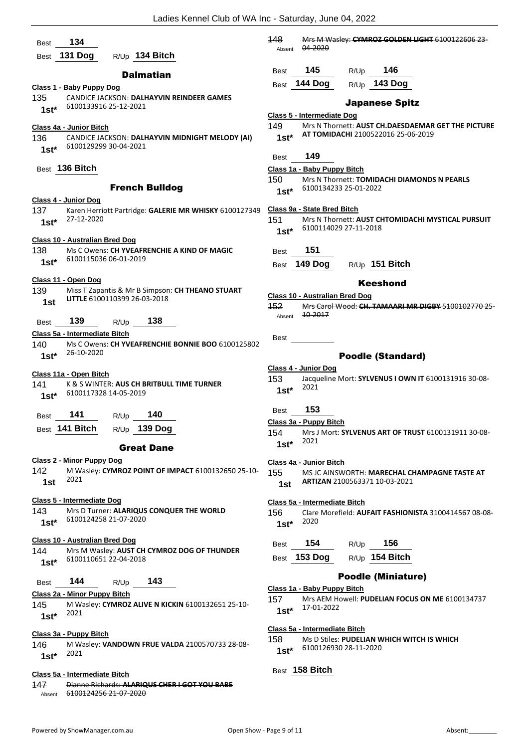| 134<br><b>Best</b>                                                                        | 148<br>Mrs M Wasley: CYMROZ GOLDEN LIGHT 6100122606 23-                                       |
|-------------------------------------------------------------------------------------------|-----------------------------------------------------------------------------------------------|
| 131 Dog<br>R/Up 134 Bitch<br>Best                                                         | 04 2020<br>Absent                                                                             |
| <b>Dalmatian</b>                                                                          | 145<br>146<br>R/Up<br>Best                                                                    |
| Class 1 - Baby Puppy Dog                                                                  | Best 144 Dog<br>R/Up 143 Dog                                                                  |
| 135<br>CANDICE JACKSON: DALHAYVIN REINDEER GAMES                                          |                                                                                               |
| 6100133916 25-12-2021<br>$1st*$                                                           | <b>Japanese Spitz</b><br>Class 5 - Intermediate Dog                                           |
| Class 4a - Junior Bitch                                                                   | 149<br>Mrs N Thornett: AUST CH.DAESDAEMAR GET THE PICTURE                                     |
| 136<br>CANDICE JACKSON: DALHAYVIN MIDNIGHT MELODY (AI)<br>6100129299 30-04-2021<br>$1st*$ | AT TOMIDACHI 2100522016 25-06-2019<br>$1st*$                                                  |
|                                                                                           | 149<br>Best                                                                                   |
| Best 136 Bitch                                                                            | Class 1a - Baby Puppy Bitch                                                                   |
| <b>French Bulldog</b>                                                                     | 150<br>Mrs N Thornett: TOMIDACHI DIAMONDS N PEARLS                                            |
| Class 4 - Junior Dog                                                                      | 6100134233 25-01-2022<br>$1st*$                                                               |
| 137<br>Karen Herriott Partridge: GALERIE MR WHISKY 6100127349                             | Class 9a - State Bred Bitch                                                                   |
| 27-12-2020<br>$1st*$                                                                      | 151<br>Mrs N Thornett: AUST CHTOMIDACHI MYSTICAL PURSUIT<br>6100114029 27-11-2018<br>$1st*$   |
| Class 10 - Australian Bred Dog                                                            |                                                                                               |
| 138<br>Ms C Owens: CH YVEAFRENCHIE A KIND OF MAGIC                                        | 151<br>Best                                                                                   |
| 6100115036 06-01-2019<br>$1st^*$                                                          | Best 149 Dog<br>$R/Up$ 151 Bitch                                                              |
| Class 11 - Open Dog                                                                       | <b>Keeshond</b>                                                                               |
| 139<br>Miss T Zapantis & Mr B Simpson: CH THEANO STUART                                   | <b>Class 10 - Australian Bred Dog</b>                                                         |
| LITTLE 6100110399 26-03-2018<br>1st                                                       | 152<br>Mrs Carol Wood: CH. TAMAARL MR DIGBY 5100102770 25-                                    |
| 139<br>138<br>R/Up<br>Best                                                                | 10-2017<br>Absent                                                                             |
| Class 5a - Intermediate Bitch                                                             |                                                                                               |
| 140<br>Ms C Owens: CH YVEAFRENCHIE BONNIE BOO 6100125802                                  | Best                                                                                          |
| 26-10-2020<br>$1st*$                                                                      | <b>Poodle (Standard)</b>                                                                      |
| Class 11a - Open Bitch                                                                    | Class 4 - Junior Dog                                                                          |
| 141<br>K & S WINTER: AUS CH BRITBULL TIME TURNER                                          | 153<br>Jacqueline Mort: SYLVENUS I OWN IT 6100131916 30-08-<br>2021                           |
| 6100117328 14-05-2019<br>$1st*$                                                           | $1st*$                                                                                        |
|                                                                                           | 153<br>Best                                                                                   |
| 141<br>140<br>R/Up<br>Best                                                                | <u> Class 3a - Puppy Bitch</u>                                                                |
| Best 141 Bitch<br>R/Up _139 Dog                                                           | 154<br>Mrs J Mort: SYLVENUS ART OF TRUST 6100131911 30-08-                                    |
| <b>Great Dane</b>                                                                         | 2021<br>$1st*$                                                                                |
| <b>Class 2 - Minor Puppy Dog</b>                                                          | Class 4a - Junior Bitch                                                                       |
| 142<br>M Wasley: CYMROZ POINT OF IMPACT 6100132650 25-10-<br>2021<br>1st                  | 155<br>MS JC AINSWORTH: MARECHAL CHAMPAGNE TASTE AT<br>ARTIZAN 2100563371 10-03-2021<br>1st   |
| Class 5 - Intermediate Dog                                                                |                                                                                               |
| 143<br>Mrs D Turner: ALARIQUS CONQUER THE WORLD                                           | Class 5a - Intermediate Bitch<br>156<br>Clare Morefield: AUFAIT FASHIONISTA 3100414567 08-08- |
| 6100124258 21-07-2020<br>$1st*$                                                           | 2020<br>$1st*$                                                                                |
| <b>Class 10 - Australian Bred Dog</b>                                                     | 154<br>156<br>R/Up<br>Best                                                                    |
| 144<br>Mrs M Wasley: <b>AUST CH CYMROZ DOG OF THUNDER</b>                                 | R/Up 154 Bitch<br>Best 153 Dog                                                                |
| 6100110651 22-04-2018<br>$1st*$                                                           |                                                                                               |
| 144<br>143<br>R/Up<br>Best                                                                | <b>Poodle (Miniature)</b>                                                                     |
| Class 2a - Minor Puppy Bitch                                                              | Class 1a - Baby Puppy Bitch<br>157<br>Mrs AEM Howell: PUDELIAN FOCUS ON ME 6100134737         |
| M Wasley: CYMROZ ALIVE N KICKIN 6100132651 25-10-<br>145<br>2021                          | 17-01-2022<br>$1st*$                                                                          |
| $1st*$                                                                                    |                                                                                               |
| Class 3a - Puppy Bitch                                                                    | Class 5a - Intermediate Bitch<br>158<br>Ms D Stiles: PUDELIAN WHICH WITCH IS WHICH            |
| M Wasley: VANDOWN FRUE VALDA 2100570733 28-08-<br>146                                     | 6100126930 28-11-2020<br>$1st^*$                                                              |
| 2021<br>$1st*$                                                                            |                                                                                               |
| Class 5a - Intermediate Bitch                                                             | Best 158 Bitch                                                                                |
| Dianne Richards: ALARIQUS CHER I GOT YOU BABE<br>147                                      |                                                                                               |

Absent 6100124256 21-07-2020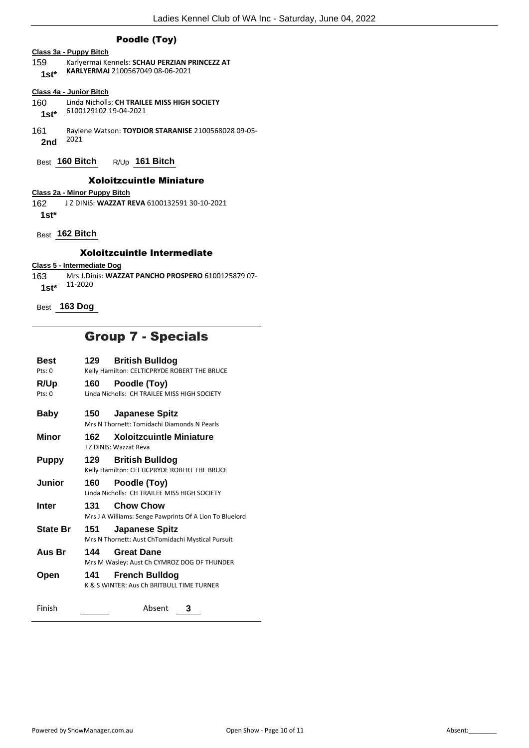### Poodle (Toy)

### **Class 3a - Puppy Bitch**

- 159 Karlyermai Kennels: **SCHAU PERZIAN PRINCEZZ AT**
- **KARLYERMAI** 2100567049 08-06-2021 **1st\***

### **Class 4a - Junior Bitch**

- 160 Linda Nicholls: **CH TRAILEE MISS HIGH SOCIETY** 6100129102 19-04-2021 **1st\***
- 161 Raylene Watson: **TOYDIOR STARANISE** 2100568028 09-05- <sup>2021</sup> **2nd**
- Best **160 Bitch** R/Up **161 Bitch**

### Xoloitzcuintle Miniature

**Class 2a - Minor Puppy Bitch**

162 J Z DINIS: **WAZZAT REVA** 6100132591 30-10-2021

**1st\***

Best **162 Bitch**

### Xoloitzcuintle Intermediate

### **Class 5 - Intermediate Dog**

163 Mrs.J.Dinis: **WAZZAT PANCHO PROSPERO** 6100125879 07- 1st\* 11-2020

Best **163 Dog**

# Group 7 - Specials

| Best<br>Pts: 0           | 129 | <b>British Bulldog</b><br>Kelly Hamilton: CELTICPRYDE ROBERT THE BRUCE      |
|--------------------------|-----|-----------------------------------------------------------------------------|
| R/Up<br>$P$ ts: $\Omega$ | 160 | Poodle (Toy)<br>Linda Nicholls: CH TRAILEE MISS HIGH SOCIETY                |
| Baby                     | 150 | <b>Japanese Spitz</b><br>Mrs N Thornett: Tomidachi Diamonds N Pearls        |
| Minor                    | 162 | <b>Xoloitzcuintle Miniature</b><br>J Z DINIS: Wazzat Reva                   |
| Puppy                    | 129 | <b>British Bulldog</b><br>Kelly Hamilton: CELTICPRYDE ROBERT THE BRUCE      |
| <b>Junior</b>            | 160 | Poodle (Toy)<br>Linda Nicholls: CH TRAILEE MISS HIGH SOCIETY                |
| <b>Inter</b>             | 131 | <b>Chow Chow</b><br>Mrs J A Williams: Senge Pawprints Of A Lion To Bluelord |
| <b>State Br</b>          | 151 | <b>Japanese Spitz</b><br>Mrs N Thornett: Aust ChTomidachi Mystical Pursuit  |
| Aus Br                   | 144 | <b>Great Dane</b><br>Mrs M Wasley: Aust Ch CYMROZ DOG OF THUNDER            |
| Open                     | 141 | <b>French Bulldog</b><br>K & S WINTER: Aus Ch BRITBULL TIME TURNER          |
| Finish                   |     | Absent<br>3                                                                 |